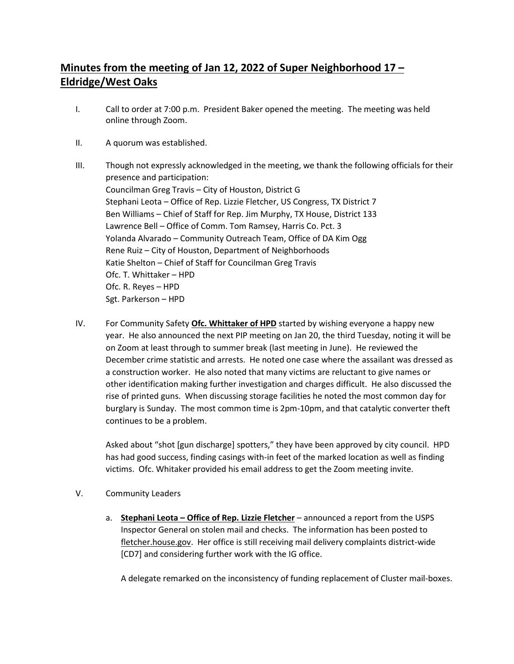## **Minutes from the meeting of Jan 12, 2022 of Super Neighborhood 17 – Eldridge/West Oaks**

- I. Call to order at 7:00 p.m. President Baker opened the meeting. The meeting was held online through Zoom.
- II. A quorum was established.
- III. Though not expressly acknowledged in the meeting, we thank the following officials for their presence and participation: Councilman Greg Travis – City of Houston, District G Stephani Leota – Office of Rep. Lizzie Fletcher, US Congress, TX District 7 Ben Williams – Chief of Staff for Rep. Jim Murphy, TX House, District 133 Lawrence Bell – Office of Comm. Tom Ramsey, Harris Co. Pct. 3 Yolanda Alvarado – Community Outreach Team, Office of DA Kim Ogg Rene Ruiz – City of Houston, Department of Neighborhoods Katie Shelton – Chief of Staff for Councilman Greg Travis Ofc. T. Whittaker – HPD Ofc. R. Reyes – HPD Sgt. Parkerson – HPD
- IV. For Community Safety **Ofc. Whittaker of HPD** started by wishing everyone a happy new year. He also announced the next PIP meeting on Jan 20, the third Tuesday, noting it will be on Zoom at least through to summer break (last meeting in June). He reviewed the December crime statistic and arrests. He noted one case where the assailant was dressed as a construction worker. He also noted that many victims are reluctant to give names or other identification making further investigation and charges difficult. He also discussed the rise of printed guns. When discussing storage facilities he noted the most common day for burglary is Sunday. The most common time is 2pm-10pm, and that catalytic converter theft continues to be a problem.

Asked about "shot [gun discharge] spotters," they have been approved by city council. HPD has had good success, finding casings with-in feet of the marked location as well as finding victims. Ofc. Whitaker provided his email address to get the Zoom meeting invite.

- V. Community Leaders
	- a. **Stephani Leota – Office of Rep. Lizzie Fletcher** announced a report from the USPS Inspector General on stolen mail and checks. The information has been posted to fletcher.house.gov. Her office is still receiving mail delivery complaints district-wide [CD7] and considering further work with the IG office.

A delegate remarked on the inconsistency of funding replacement of Cluster mail-boxes.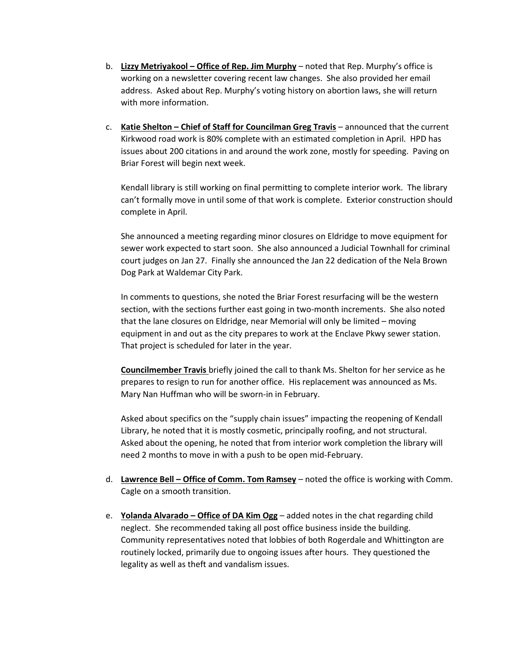- b. **Lizzy Metriyakool – Office of Rep. Jim Murphy** noted that Rep. Murphy's office is working on a newsletter covering recent law changes. She also provided her email address. Asked about Rep. Murphy's voting history on abortion laws, she will return with more information.
- c. **Katie Shelton – Chief of Staff for Councilman Greg Travis** announced that the current Kirkwood road work is 80% complete with an estimated completion in April. HPD has issues about 200 citations in and around the work zone, mostly for speeding. Paving on Briar Forest will begin next week.

Kendall library is still working on final permitting to complete interior work. The library can't formally move in until some of that work is complete. Exterior construction should complete in April.

She announced a meeting regarding minor closures on Eldridge to move equipment for sewer work expected to start soon. She also announced a Judicial Townhall for criminal court judges on Jan 27. Finally she announced the Jan 22 dedication of the Nela Brown Dog Park at Waldemar City Park.

In comments to questions, she noted the Briar Forest resurfacing will be the western section, with the sections further east going in two-month increments. She also noted that the lane closures on Eldridge, near Memorial will only be limited – moving equipment in and out as the city prepares to work at the Enclave Pkwy sewer station. That project is scheduled for later in the year.

**Councilmember Travis** briefly joined the call to thank Ms. Shelton for her service as he prepares to resign to run for another office. His replacement was announced as Ms. Mary Nan Huffman who will be sworn-in in February.

Asked about specifics on the "supply chain issues" impacting the reopening of Kendall Library, he noted that it is mostly cosmetic, principally roofing, and not structural. Asked about the opening, he noted that from interior work completion the library will need 2 months to move in with a push to be open mid-February.

- d. **Lawrence Bell – Office of Comm. Tom Ramsey** noted the office is working with Comm. Cagle on a smooth transition.
- e. **Yolanda Alvarado – Office of DA Kim Ogg** added notes in the chat regarding child neglect. She recommended taking all post office business inside the building. Community representatives noted that lobbies of both Rogerdale and Whittington are routinely locked, primarily due to ongoing issues after hours. They questioned the legality as well as theft and vandalism issues.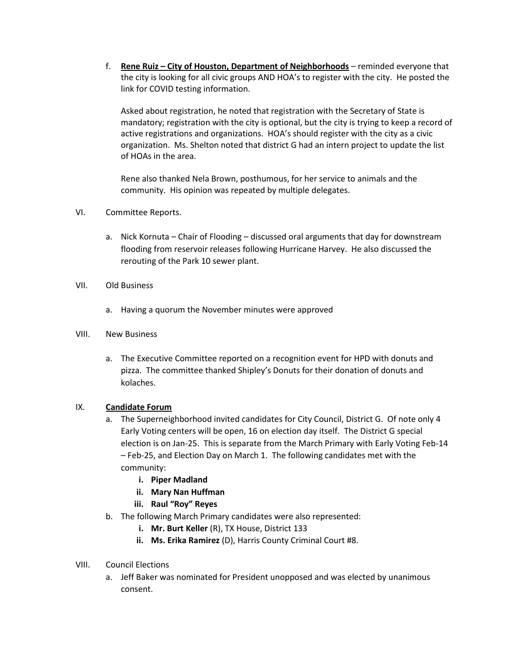f. **Rene Ruiz – City of Houston, Department of Neighborhoods** – reminded everyone that the city is looking for all civic groups AND HOA's to register with the city. He posted the link for COVID testing information.

Asked about registration, he noted that registration with the Secretary of State is mandatory; registration with the city is optional, but the city is trying to keep a record of active registrations and organizations. HOA's should register with the city as a civic organization. Ms. Shelton noted that district G had an intern project to update the list of HOAs in the area.

Rene also thanked Nela Brown, posthumous, for her service to animals and the community. His opinion was repeated by multiple delegates.

- VI. Committee Reports.
	- a. Nick Kornuta Chair of Flooding discussed oral arguments that day for downstream flooding from reservoir releases following Hurricane Harvey. He also discussed the rerouting of the Park 10 sewer plant.
- VII. Old Business
	- a. Having a quorum the November minutes were approved
- VIII. New Business
	- a. The Executive Committee reported on a recognition event for HPD with donuts and pizza. The committee thanked Shipley's Donuts for their donation of donuts and kolaches.

## IX. **Candidate Forum**

- a. The Superneighborhood invited candidates for City Council, District G. Of note only 4 Early Voting centers will be open, 16 on election day itself. The District G special election is on Jan-25. This is separate from the March Primary with Early Voting Feb-14 – Feb-25, and Election Day on March 1. The following candidates met with the community:
	- **i. Piper Madland**
	- **ii. Mary Nan Huffman**
	- **iii. Raul "Roy" Reyes**
- b. The following March Primary candidates were also represented:
	- **i. Mr. Burt Keller** (R), TX House, District 133
	- **ii. Ms. Erika Ramirez** (D), Harris County Criminal Court #8.
- VIII. Council Elections
	- a. Jeff Baker was nominated for President unopposed and was elected by unanimous consent.